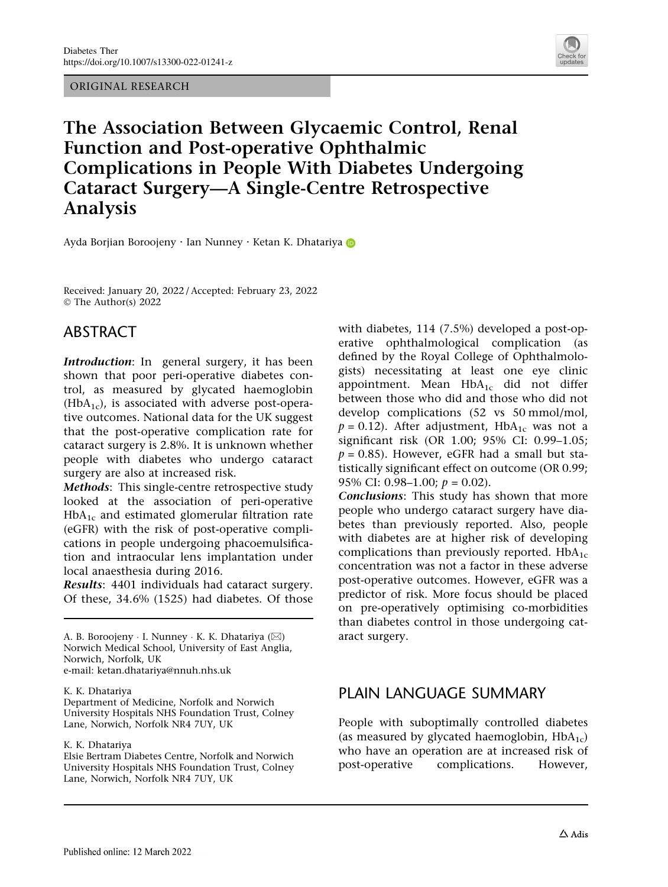ORIGINAL RESEARCH



# The Association Between Glycaemic Control, Renal Function and Post-operative Ophthalmic Complications in People With Diabetes Undergoing Cataract Surgery—A Single-Centre Retrospective Analysis

Ayda Borjian Boroojeny . Ian Nunney . Ketan K. Dhatariya

Received: January 20, 2022 / Accepted: February 23, 2022 © The Author(s) 2022

### ABSTRACT

Introduction: In general surgery, it has been shown that poor peri-operative diabetes control, as measured by glycated haemoglobin  $(HbA_{1c})$ , is associated with adverse post-operative outcomes. National data for the UK suggest that the post-operative complication rate for cataract surgery is 2.8%. It is unknown whether people with diabetes who undergo cataract surgery are also at increased risk.

Methods: This single-centre retrospective study looked at the association of peri-operative  $HbA_{1c}$  and estimated glomerular filtration rate (eGFR) with the risk of post-operative complications in people undergoing phacoemulsification and intraocular lens implantation under local anaesthesia during 2016.

Results: 4401 individuals had cataract surgery. Of these, 34.6% (1525) had diabetes. Of those

Department of Medicine, Norfolk and Norwich University Hospitals NHS Foundation Trust, Colney Lane, Norwich, Norfolk NR4 7UY, UK

#### K. K. Dhatariya

Elsie Bertram Diabetes Centre, Norfolk and Norwich University Hospitals NHS Foundation Trust, Colney Lane, Norwich, Norfolk NR4 7UY, UK

with diabetes, 114 (7.5%) developed a post-operative ophthalmological complication (as defined by the Royal College of Ophthalmologists) necessitating at least one eye clinic appointment. Mean HbA<sub>1c</sub> did not differ between those who did and those who did not develop complications (52 vs 50 mmol/mol,  $p = 0.12$ ). After adjustment, HbA<sub>1c</sub> was not a significant risk (OR 1.00; 95% CI: 0.99–1.05;  $p = 0.85$ ). However, eGFR had a small but statistically significant effect on outcome (OR 0.99; 95% CI: 0.98-1.00;  $p = 0.02$ ).

Conclusions: This study has shown that more people who undergo cataract surgery have diabetes than previously reported. Also, people with diabetes are at higher risk of developing complications than previously reported.  $HbA_{1c}$ concentration was not a factor in these adverse post-operative outcomes. However, eGFR was a predictor of risk. More focus should be placed on pre-operatively optimising co-morbidities than diabetes control in those undergoing cataract surgery.

# PLAIN LANGUAGE SUMMARY

People with suboptimally controlled diabetes (as measured by glycated haemoglobin,  $HbA_{1c}$ ) who have an operation are at increased risk of post-operative complications. However,

A. B. Boroojeny ∙ I. Nunney ∙ K. K. Dhatariya (⊠) Norwich Medical School, University of East Anglia, Norwich, Norfolk, UK e-mail: ketan.dhatariya@nnuh.nhs.uk

K. K. Dhatariya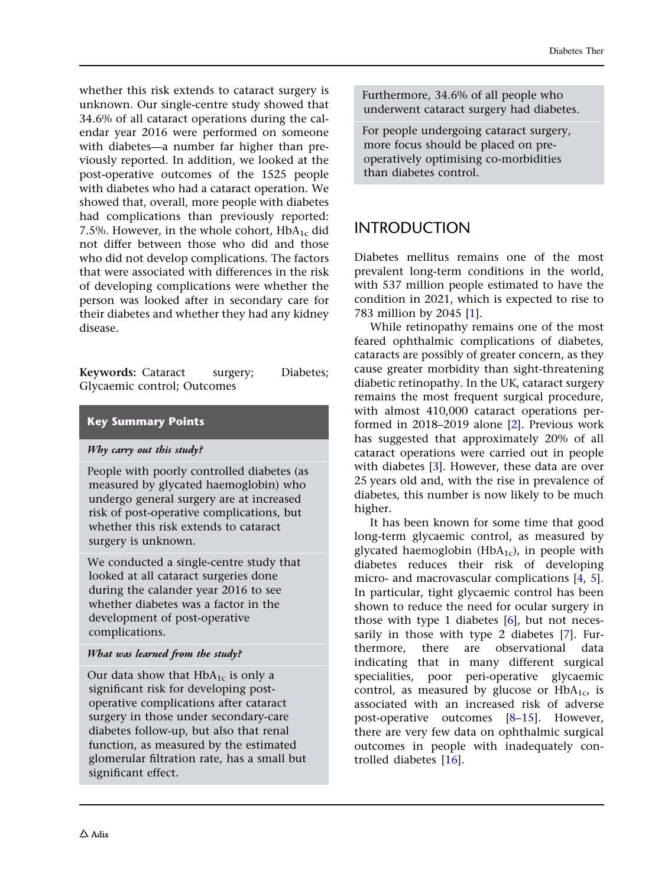whether this risk extends to cataract surgery is unknown. Our single-centre study showed that 34.6% of all cataract operations during the calendar year 2016 were performed on someone with diabetes—a number far higher than previously reported. In addition, we looked at the post-operative outcomes of the 1525 people with diabetes who had a cataract operation. We showed that, overall, more people with diabetes had complications than previously reported: 7.5%. However, in the whole cohort,  $HbA_{1c}$  did not differ between those who did and those who did not develop complications. The factors that were associated with differences in the risk of developing complications were whether the person was looked after in secondary care for their diabetes and whether they had any kidney disease.

Keywords: Cataract surgery; Diabetes; Glycaemic control; Outcomes

#### Key Summary Points

#### Why carry out this study?

People with poorly controlled diabetes (as measured by glycated haemoglobin) who undergo general surgery are at increased risk of post-operative complications, but whether this risk extends to cataract surgery is unknown.

We conducted a single-centre study that looked at all cataract surgeries done during the calander year 2016 to see whether diabetes was a factor in the development of post-operative complications.

#### What was learned from the study?

Our data show that  $HbA_{1c}$  is only a significant risk for developing postoperative complications after cataract surgery in those under secondary-care diabetes follow-up, but also that renal function, as measured by the estimated glomerular filtration rate, has a small but significant effect.

Furthermore, 34.6% of all people who underwent cataract surgery had diabetes.

For people undergoing cataract surgery, more focus should be placed on preoperatively optimising co-morbidities than diabetes control.

# INTRODUCTION

Diabetes mellitus remains one of the most prevalent long-term conditions in the world, with 537 million people estimated to have the condition in 2021, which is expected to rise to 783 million by 2045 [\[1](#page-7-0)].

While retinopathy remains one of the most feared ophthalmic complications of diabetes, cataracts are possibly of greater concern, as they cause greater morbidity than sight-threatening diabetic retinopathy. In the UK, cataract surgery remains the most frequent surgical procedure, with almost 410,000 cataract operations performed in 2018–2019 alone [[2\]](#page-7-0). Previous work has suggested that approximately 20% of all cataract operations were carried out in people with diabetes [[3\]](#page-7-0). However, these data are over 25 years old and, with the rise in prevalence of diabetes, this number is now likely to be much higher.

It has been known for some time that good long-term glycaemic control, as measured by glycated haemoglobin (Hb $A_{1c}$ ), in people with diabetes reduces their risk of developing micro- and macrovascular complications [\[4](#page-7-0), [5](#page-7-0)]. In particular, tight glycaemic control has been shown to reduce the need for ocular surgery in those with type 1 diabetes  $[6]$  $[6]$ , but not necessarily in those with type 2 diabetes [[7](#page-8-0)]. Furthermore, there are observational data indicating that in many different surgical specialities, poor peri-operative glycaemic control, as measured by glucose or  $HbA_{1c}$ , is associated with an increased risk of adverse post-operative outcomes [\[8–15\]](#page-8-0). However, there are very few data on ophthalmic surgical outcomes in people with inadequately controlled diabetes [[16](#page-8-0)].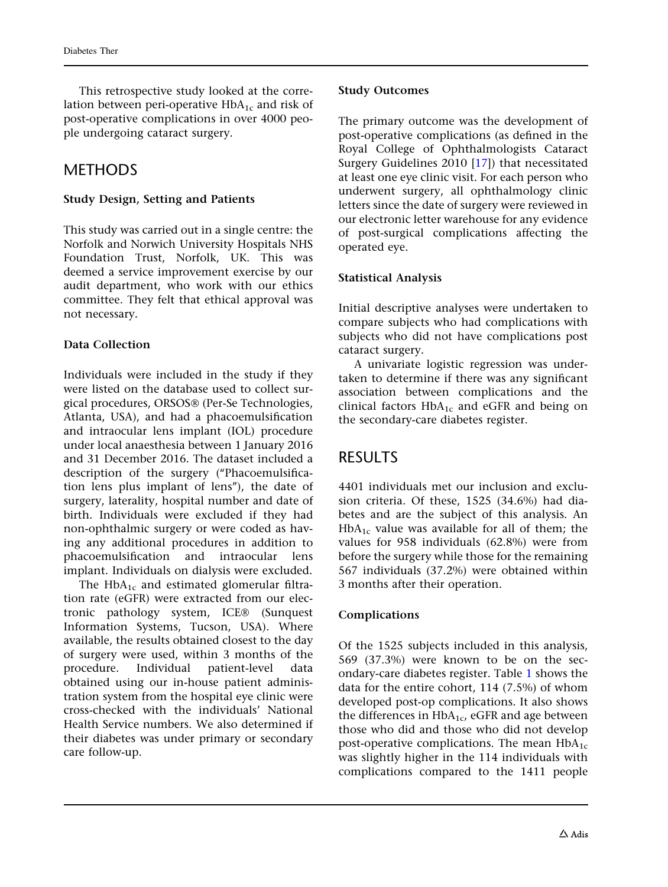This retrospective study looked at the correlation between peri-operative  $HbA_{1c}$  and risk of post-operative complications in over 4000 people undergoing cataract surgery.

### METHODS

#### Study Design, Setting and Patients

This study was carried out in a single centre: the Norfolk and Norwich University Hospitals NHS Foundation Trust, Norfolk, UK. This was deemed a service improvement exercise by our audit department, who work with our ethics committee. They felt that ethical approval was not necessary.

#### Data Collection

Individuals were included in the study if they were listed on the database used to collect surgical procedures, ORSOS® (Per-Se Technologies, Atlanta, USA), and had a phacoemulsification and intraocular lens implant (IOL) procedure under local anaesthesia between 1 January 2016 and 31 December 2016. The dataset included a description of the surgery (''Phacoemulsification lens plus implant of lens''), the date of surgery, laterality, hospital number and date of birth. Individuals were excluded if they had non-ophthalmic surgery or were coded as having any additional procedures in addition to phacoemulsification and intraocular lens implant. Individuals on dialysis were excluded.

The  $HbA_{1c}$  and estimated glomerular filtration rate (eGFR) were extracted from our electronic pathology system, ICE® (Sunquest Information Systems, Tucson, USA). Where available, the results obtained closest to the day of surgery were used, within 3 months of the procedure. Individual patient-level data obtained using our in-house patient administration system from the hospital eye clinic were cross-checked with the individuals' National Health Service numbers. We also determined if their diabetes was under primary or secondary care follow-up.

#### Study Outcomes

The primary outcome was the development of post-operative complications (as defined in the Royal College of Ophthalmologists Cataract Surgery Guidelines 2010 [[17](#page-8-0)]) that necessitated at least one eye clinic visit. For each person who underwent surgery, all ophthalmology clinic letters since the date of surgery were reviewed in our electronic letter warehouse for any evidence of post-surgical complications affecting the operated eye.

#### Statistical Analysis

Initial descriptive analyses were undertaken to compare subjects who had complications with subjects who did not have complications post cataract surgery.

A univariate logistic regression was undertaken to determine if there was any significant association between complications and the clinical factors  $HbA_{1c}$  and eGFR and being on the secondary-care diabetes register.

# **RESULTS**

4401 individuals met our inclusion and exclusion criteria. Of these, 1525 (34.6%) had diabetes and are the subject of this analysis. An  $HbA_{1c}$  value was available for all of them; the values for 958 individuals (62.8%) were from before the surgery while those for the remaining 567 individuals (37.2%) were obtained within 3 months after their operation.

#### Complications

Of the 1525 subjects included in this analysis, 569 (37.3%) were known to be on the secondary-care diabetes register. Table [1](#page-3-0) shows the data for the entire cohort, 114 (7.5%) of whom developed post-op complications. It also shows the differences in  $HbA_{1c}$ , eGFR and age between those who did and those who did not develop post-operative complications. The mean  $HbA_{1c}$ was slightly higher in the 114 individuals with complications compared to the 1411 people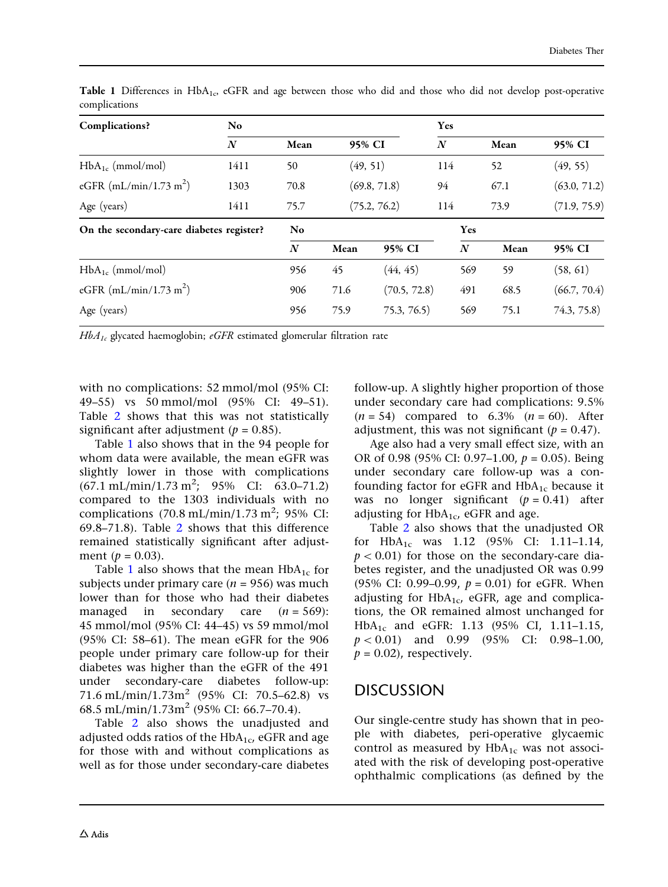| <b>Complications?</b>                    | No.              |                  |                              |              | Yes              |      |                              |  |
|------------------------------------------|------------------|------------------|------------------------------|--------------|------------------|------|------------------------------|--|
|                                          | $\boldsymbol{N}$ | Mean             | 95% CI                       |              | $\boldsymbol{N}$ | Mean | 95% CI                       |  |
| $HbA_{1c}$ (mmol/mol)                    | 1411             | 50               | (49, 51)                     |              | 114              | 52   | (49, 55)                     |  |
| eGFR $(mL/min/1.73 m2)$                  | 1303             | 70.8             | (69.8, 71.8)<br>(75.2, 76.2) |              | 94               | 67.1 | (63.0, 71.2)<br>(71.9, 75.9) |  |
| Age (years)                              | 1411             | 75.7             |                              |              | 114              | 73.9 |                              |  |
| On the secondary-care diabetes register? |                  | <b>No</b>        |                              |              | Yes              |      |                              |  |
|                                          |                  | $\boldsymbol{N}$ | Mean                         | 95% CI       | $\boldsymbol{N}$ | Mean | 95% CI                       |  |
| $HbA_{1c}$ (mmol/mol)                    |                  | 956              | 45                           | (44, 45)     | 569              | 59   | (58, 61)                     |  |
| eGFR $(mL/min/1.73 m2)$                  |                  | 906              | 71.6                         | (70.5, 72.8) | 491              | 68.5 | (66.7, 70.4)                 |  |
| Age (years)                              |                  | 956              | 75.9                         | 75.3, 76.5)  | 569              | 75.1 | 74.3, 75.8)                  |  |

<span id="page-3-0"></span>Table 1 Differences in HbA<sub>1c</sub>, eGFR and age between those who did and those who did not develop post-operative complications

 $HbA_{1c}$  glycated haemoglobin; eGFR estimated glomerular filtration rate

with no complications: 52 mmol/mol (95% CI: 49–55) vs 50 mmol/mol (95% CI: 49–51). Table [2](#page-4-0) shows that this was not statistically significant after adjustment ( $p = 0.85$ ).

Table 1 also shows that in the 94 people for whom data were available, the mean eGFR was slightly lower in those with complications  $(67.1 \text{ mL/min}/1.73 \text{ m}^2; 95\% \text{ CI: } 63.0-71.2)$ compared to the 1303 individuals with no complications (70.8 mL/min/1.73 m<sup>2</sup>; 95% CI: 69.8–71.8). Table [2](#page-4-0) shows that this difference remained statistically significant after adjustment ( $p = 0.03$ ).

Table 1 also shows that the mean  $HbA_{1c}$  for subjects under primary care ( $n = 956$ ) was much lower than for those who had their diabetes managed in secondary care  $(n = 569)$ : 45 mmol/mol (95% CI: 44–45) vs 59 mmol/mol (95% CI: 58–61). The mean eGFR for the 906 people under primary care follow-up for their diabetes was higher than the eGFR of the 491 under secondary-care diabetes follow-up: 71.6 mL/min/1.73m<sup>2</sup> (95% CI: 70.5–62.8) vs 68.5 mL/min/1.73m<sup>2</sup> (95% CI: 66.7–70.4).

Table [2](#page-4-0) also shows the unadjusted and adjusted odds ratios of the  $HbA_{1c}$ , eGFR and age for those with and without complications as well as for those under secondary-care diabetes follow-up. A slightly higher proportion of those under secondary care had complications: 9.5%  $(n = 54)$  compared to 6.3%  $(n = 60)$ . After adjustment, this was not significant ( $p = 0.47$ ).

Age also had a very small effect size, with an OR of 0.98 (95% CI: 0.97–1.00,  $p = 0.05$ ). Being under secondary care follow-up was a confounding factor for eGFR and  $HbA_{1c}$  because it was no longer significant  $(p = 0.41)$  after adjusting for  $HbA_{1c}$ , eGFR and age.

Table [2](#page-4-0) also shows that the unadjusted OR for  $HbA_{1c}$  was 1.12 (95% CI: 1.11–1.14,  $p < 0.01$ ) for those on the secondary-care diabetes register, and the unadjusted OR was 0.99 (95% CI: 0.99–0.99,  $p = 0.01$ ) for eGFR. When adjusting for  $HbA_{1c}$ , eGFR, age and complications, the OR remained almost unchanged for HbA1c and eGFR: 1.13 (95% CI, 1.11–1.15,  $p < 0.01$ ) and 0.99 (95% CI: 0.98–1.00,  $p = 0.02$ ), respectively.

### **DISCUSSION**

Our single-centre study has shown that in people with diabetes, peri-operative glycaemic control as measured by  $HbA_{1c}$  was not associated with the risk of developing post-operative ophthalmic complications (as defined by the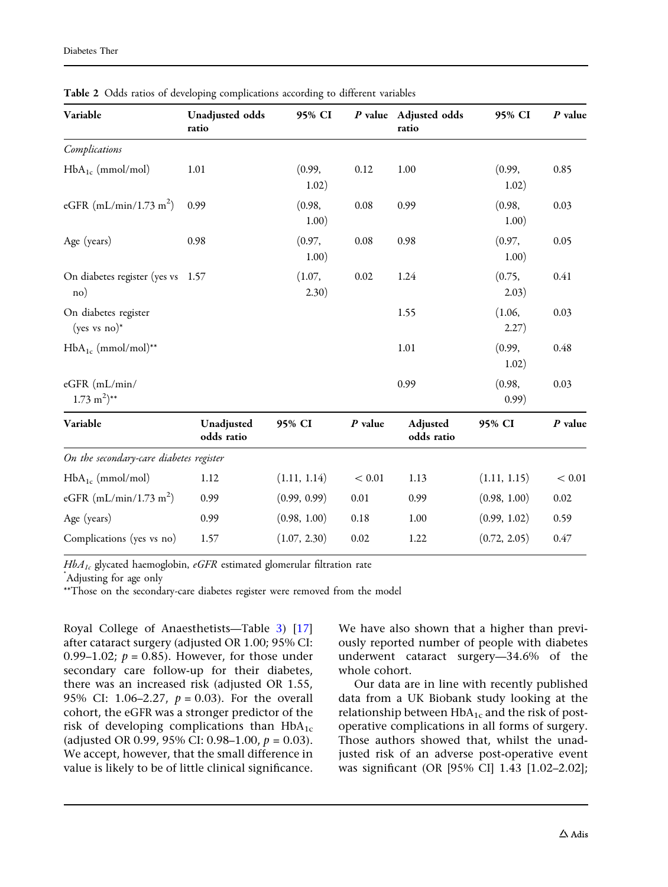| Variable                                          | Unadjusted odds<br>ratio | 95% CI          | P value   | Adjusted odds<br>ratio | 95% CI          | $P$ value |
|---------------------------------------------------|--------------------------|-----------------|-----------|------------------------|-----------------|-----------|
| Complications                                     |                          |                 |           |                        |                 |           |
| $HbA_{1c}$ (mmol/mol)                             | 1.01                     | (0.99,<br>1.02) | 0.12      | 1.00                   | (0.99,<br>1.02) | 0.85      |
| eGFR $(mL/min/1.73 m2)$                           | 0.99                     | (0.98,<br>1.00) | 0.08      | 0.99                   | (0.98,<br>1.00) | 0.03      |
| Age (years)                                       | 0.98                     | (0.97,<br>1.00) | 0.08      | 0.98                   | (0.97,<br>1.00) | 0.05      |
| On diabetes register (yes vs 1.57<br>no)          |                          | (1.07,<br>2.30) | 0.02      | 1.24                   | (0.75,<br>2.03) | 0.41      |
| On diabetes register<br>$(yes vs no)*$            |                          |                 |           | 1.55                   | (1.06,<br>2.27) | 0.03      |
| $HbA_{1c}$ (mmol/mol)**                           |                          |                 |           | 1.01                   | (0.99,<br>1.02) | 0.48      |
| eGFR (mL/min/<br>$1.73 \text{ m}^2$ <sup>**</sup> |                          |                 |           | 0.99                   | (0.98,<br>0.99) | 0.03      |
| Variable                                          | Unadjusted<br>odds ratio | 95% CI          | $P$ value | Adjusted<br>odds ratio | 95% CI          | $P$ value |
| On the secondary-care diabetes register           |                          |                 |           |                        |                 |           |
| $HbA_{1c}$ (mmol/mol)                             | 1.12                     | (1.11, 1.14)    | < 0.01    | 1.13                   | (1.11, 1.15)    | < 0.01    |
| eGFR $(mL/min/1.73 m2)$                           | 0.99                     | (0.99, 0.99)    | $0.01\,$  | 0.99                   | (0.98, 1.00)    | 0.02      |
| Age (years)                                       | 0.99                     | (0.98, 1.00)    | 0.18      | 1.00                   | (0.99, 1.02)    | 0.59      |
| Complications (yes vs no)                         | 1.57                     | (1.07, 2.30)    | 0.02      | 1.22                   | (0.72, 2.05)    | 0.47      |

<span id="page-4-0"></span>Table 2 Odds ratios of developing complications according to different variables

 $HbA_{1c}$  glycated haemoglobin, eGFR estimated glomerular filtration rate

Adjusting for age only

\*\*Those on the secondary-care diabetes register were removed from the model

Royal College of Anaesthetists—Table [3\)](#page-5-0) [\[17\]](#page-8-0) after cataract surgery (adjusted OR 1.00; 95% CI: 0.99–1.02;  $p = 0.85$ ). However, for those under secondary care follow-up for their diabetes, there was an increased risk (adjusted OR 1.55, 95% CI: 1.06–2.27,  $p = 0.03$ ). For the overall cohort, the eGFR was a stronger predictor of the risk of developing complications than  $HbA_{1c}$ (adjusted OR 0.99, 95% CI: 0.98–1.00,  $p = 0.03$ ). We accept, however, that the small difference in value is likely to be of little clinical significance.

We have also shown that a higher than previously reported number of people with diabetes underwent cataract surgery—34.6% of the whole cohort.

Our data are in line with recently published data from a UK Biobank study looking at the relationship between  $HbA_{1c}$  and the risk of postoperative complications in all forms of surgery. Those authors showed that, whilst the unadjusted risk of an adverse post-operative event was significant (OR [95% CI] 1.43 [1.02–2.02];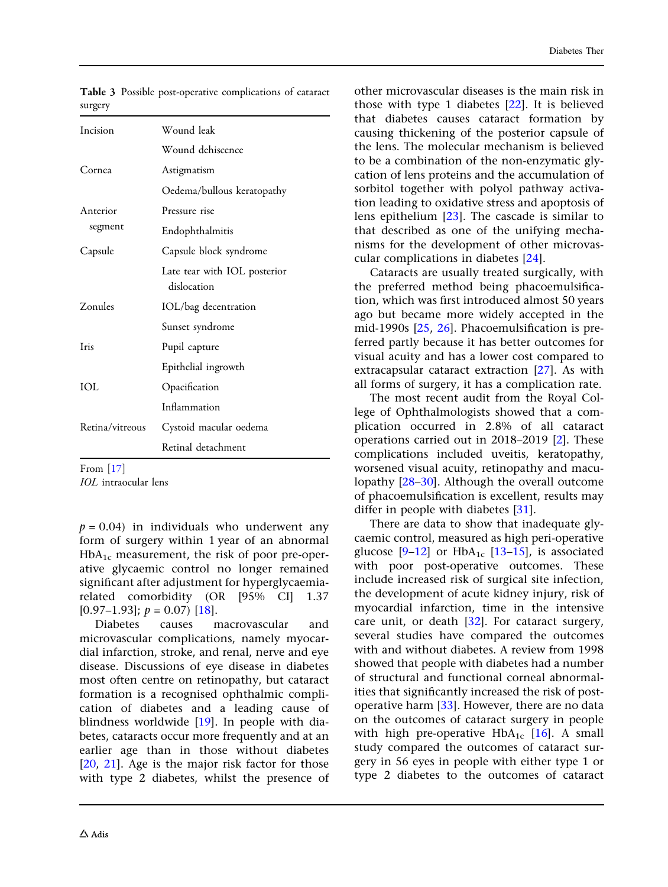| surgery             |                                             |  |  |  |
|---------------------|---------------------------------------------|--|--|--|
| Incision            | Wound leak                                  |  |  |  |
|                     | Wound dehiscence                            |  |  |  |
| Cornea              | Astigmatism                                 |  |  |  |
|                     | Oedema/bullous keratopathy                  |  |  |  |
| Anterior<br>segment | Pressure rise                               |  |  |  |
|                     | Endophthalmitis                             |  |  |  |
| Capsule             | Capsule block syndrome                      |  |  |  |
|                     | Late tear with IOL posterior<br>dislocation |  |  |  |
| Zonules             | IOL/bag decentration                        |  |  |  |
|                     | Sunset syndrome                             |  |  |  |
| Iris                | Pupil capture                               |  |  |  |
|                     | Epithelial ingrowth                         |  |  |  |
| IOL                 | Opacification                               |  |  |  |
|                     | Inflammation                                |  |  |  |
| Retina/vitreous     | Cystoid macular oedema                      |  |  |  |
|                     | Retinal detachment                          |  |  |  |

<span id="page-5-0"></span>Table 3 Possible post-operative complications of cataract surgery

From [[17\]](#page-8-0)

IOL intraocular lens

 $p = 0.04$ ) in individuals who underwent any form of surgery within 1 year of an abnormal  $HbA_{1c}$  measurement, the risk of poor pre-operative glycaemic control no longer remained significant after adjustment for hyperglycaemiarelated comorbidity (OR [95% CI] 1.37  $[0.97-1.93]$ ;  $p = 0.07$ )  $[18]$  $[18]$  $[18]$ .

Diabetes causes macrovascular and microvascular complications, namely myocardial infarction, stroke, and renal, nerve and eye disease. Discussions of eye disease in diabetes most often centre on retinopathy, but cataract formation is a recognised ophthalmic complication of diabetes and a leading cause of blindness worldwide [[19](#page-8-0)]. In people with diabetes, cataracts occur more frequently and at an earlier age than in those without diabetes [\[20,](#page-8-0) [21](#page-8-0)]. Age is the major risk factor for those with type 2 diabetes, whilst the presence of other microvascular diseases is the main risk in those with type 1 diabetes [[22](#page-8-0)]. It is believed that diabetes causes cataract formation by causing thickening of the posterior capsule of the lens. The molecular mechanism is believed to be a combination of the non-enzymatic glycation of lens proteins and the accumulation of sorbitol together with polyol pathway activation leading to oxidative stress and apoptosis of lens epithelium [[23](#page-8-0)]. The cascade is similar to that described as one of the unifying mechanisms for the development of other microvascular complications in diabetes [\[24\]](#page-8-0).

Cataracts are usually treated surgically, with the preferred method being phacoemulsification, which was first introduced almost 50 years ago but became more widely accepted in the mid-1990s [[25](#page-8-0), [26](#page-8-0)]. Phacoemulsification is preferred partly because it has better outcomes for visual acuity and has a lower cost compared to extracapsular cataract extraction [\[27\]](#page-8-0). As with all forms of surgery, it has a complication rate.

The most recent audit from the Royal College of Ophthalmologists showed that a complication occurred in 2.8% of all cataract operations carried out in 2018–2019 [\[2\]](#page-7-0). These complications included uveitis, keratopathy, worsened visual acuity, retinopathy and maculopathy [[28–30\]](#page-9-0). Although the overall outcome of phacoemulsification is excellent, results may differ in people with diabetes [[31](#page-9-0)].

There are data to show that inadequate glycaemic control, measured as high peri-operative glucose  $[9-12]$  or HbA<sub>1c</sub>  $[13-15]$  $[13-15]$  $[13-15]$  $[13-15]$  $[13-15]$ , is associated with poor post-operative outcomes. These include increased risk of surgical site infection, the development of acute kidney injury, risk of myocardial infarction, time in the intensive care unit, or death [\[32\]](#page-9-0). For cataract surgery, several studies have compared the outcomes with and without diabetes. A review from 1998 showed that people with diabetes had a number of structural and functional corneal abnormalities that significantly increased the risk of postoperative harm [[33](#page-9-0)]. However, there are no data on the outcomes of cataract surgery in people with high pre-operative  $HbA_{1c}$  [[16](#page-8-0)]. A small study compared the outcomes of cataract surgery in 56 eyes in people with either type 1 or type 2 diabetes to the outcomes of cataract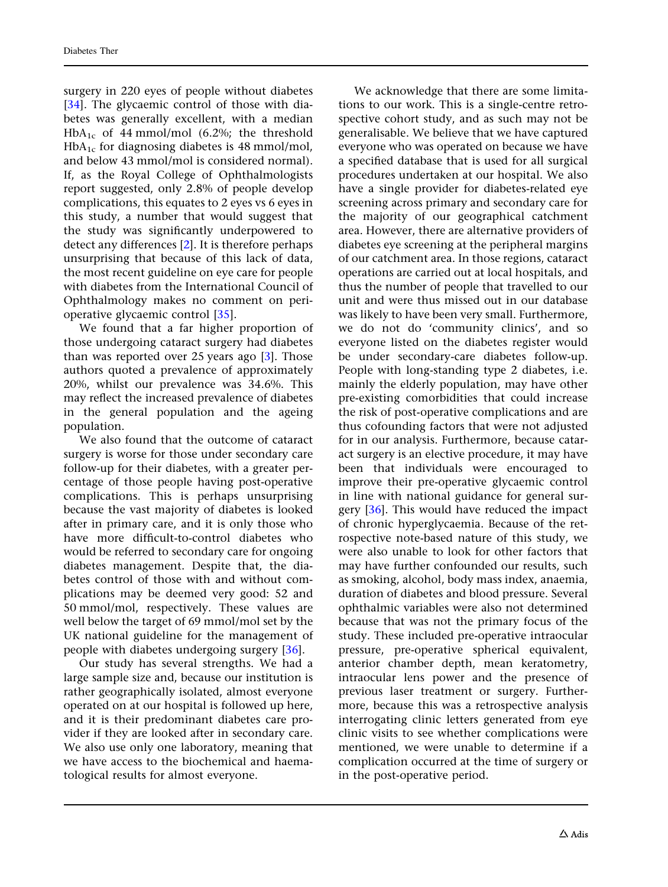surgery in 220 eyes of people without diabetes [\[34](#page-9-0)]. The glycaemic control of those with diabetes was generally excellent, with a median HbA<sub>1c</sub> of 44 mmol/mol (6.2%; the threshold HbA1c for diagnosing diabetes is 48 mmol/mol, and below 43 mmol/mol is considered normal). If, as the Royal College of Ophthalmologists report suggested, only 2.8% of people develop complications, this equates to 2 eyes vs 6 eyes in this study, a number that would suggest that the study was significantly underpowered to detect any differences [[2](#page-7-0)]. It is therefore perhaps unsurprising that because of this lack of data, the most recent guideline on eye care for people with diabetes from the International Council of Ophthalmology makes no comment on perioperative glycaemic control [[35](#page-9-0)].

We found that a far higher proportion of those undergoing cataract surgery had diabetes than was reported over 25 years ago [[3](#page-7-0)]. Those authors quoted a prevalence of approximately 20%, whilst our prevalence was 34.6%. This may reflect the increased prevalence of diabetes in the general population and the ageing population.

We also found that the outcome of cataract surgery is worse for those under secondary care follow-up for their diabetes, with a greater percentage of those people having post-operative complications. This is perhaps unsurprising because the vast majority of diabetes is looked after in primary care, and it is only those who have more difficult-to-control diabetes who would be referred to secondary care for ongoing diabetes management. Despite that, the diabetes control of those with and without complications may be deemed very good: 52 and 50 mmol/mol, respectively. These values are well below the target of 69 mmol/mol set by the UK national guideline for the management of people with diabetes undergoing surgery [[36](#page-9-0)].

Our study has several strengths. We had a large sample size and, because our institution is rather geographically isolated, almost everyone operated on at our hospital is followed up here, and it is their predominant diabetes care provider if they are looked after in secondary care. We also use only one laboratory, meaning that we have access to the biochemical and haematological results for almost everyone.

We acknowledge that there are some limitations to our work. This is a single-centre retrospective cohort study, and as such may not be generalisable. We believe that we have captured everyone who was operated on because we have a specified database that is used for all surgical procedures undertaken at our hospital. We also have a single provider for diabetes-related eye screening across primary and secondary care for the majority of our geographical catchment area. However, there are alternative providers of diabetes eye screening at the peripheral margins of our catchment area. In those regions, cataract operations are carried out at local hospitals, and thus the number of people that travelled to our unit and were thus missed out in our database was likely to have been very small. Furthermore, we do not do 'community clinics', and so everyone listed on the diabetes register would be under secondary-care diabetes follow-up. People with long-standing type 2 diabetes, i.e. mainly the elderly population, may have other pre-existing comorbidities that could increase the risk of post-operative complications and are thus cofounding factors that were not adjusted for in our analysis. Furthermore, because cataract surgery is an elective procedure, it may have been that individuals were encouraged to improve their pre-operative glycaemic control in line with national guidance for general surgery [[36](#page-9-0)]. This would have reduced the impact of chronic hyperglycaemia. Because of the retrospective note-based nature of this study, we were also unable to look for other factors that may have further confounded our results, such as smoking, alcohol, body mass index, anaemia, duration of diabetes and blood pressure. Several ophthalmic variables were also not determined because that was not the primary focus of the study. These included pre-operative intraocular pressure, pre-operative spherical equivalent, anterior chamber depth, mean keratometry, intraocular lens power and the presence of previous laser treatment or surgery. Furthermore, because this was a retrospective analysis interrogating clinic letters generated from eye clinic visits to see whether complications were mentioned, we were unable to determine if a complication occurred at the time of surgery or in the post-operative period.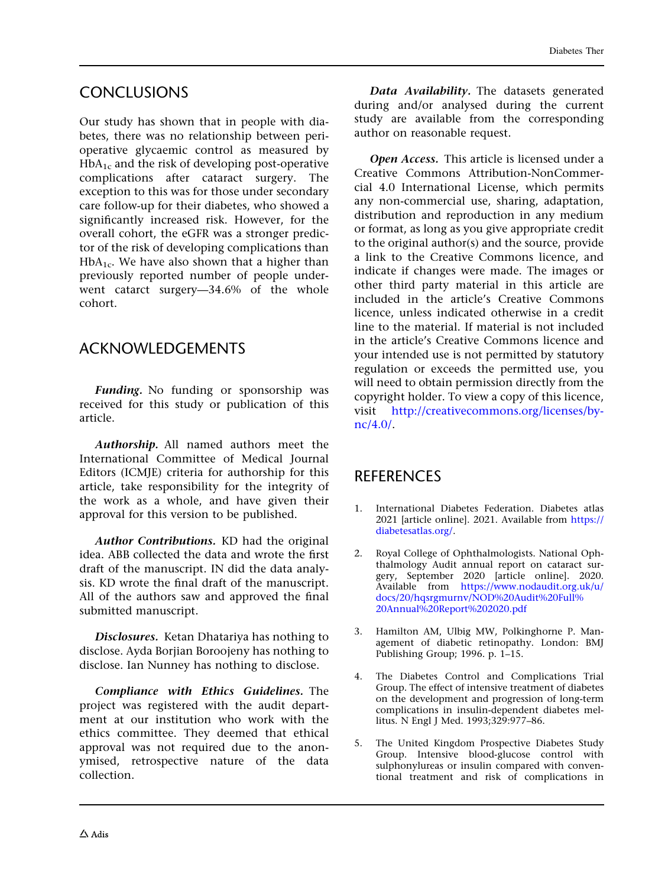### <span id="page-7-0"></span>**CONCLUSIONS**

Our study has shown that in people with diabetes, there was no relationship between perioperative glycaemic control as measured by  $HbA_{1c}$  and the risk of developing post-operative complications after cataract surgery. The exception to this was for those under secondary care follow-up for their diabetes, who showed a significantly increased risk. However, for the overall cohort, the eGFR was a stronger predictor of the risk of developing complications than  $HbA_{1c}$ . We have also shown that a higher than previously reported number of people underwent catarct surgery—34.6% of the whole cohort.

### ACKNOWLEDGEMENTS

Funding. No funding or sponsorship was received for this study or publication of this article.

Authorship. All named authors meet the International Committee of Medical Journal Editors (ICMJE) criteria for authorship for this article, take responsibility for the integrity of the work as a whole, and have given their approval for this version to be published.

Author Contributions. KD had the original idea. ABB collected the data and wrote the first draft of the manuscript. IN did the data analysis. KD wrote the final draft of the manuscript. All of the authors saw and approved the final submitted manuscript.

Disclosures. Ketan Dhatariya has nothing to disclose. Ayda Borjian Boroojeny has nothing to disclose. Ian Nunney has nothing to disclose.

Compliance with Ethics Guidelines. The project was registered with the audit department at our institution who work with the ethics committee. They deemed that ethical approval was not required due to the anonymised, retrospective nature of the data collection.

Data Availability. The datasets generated during and/or analysed during the current study are available from the corresponding author on reasonable request.

Open Access. This article is licensed under a Creative Commons Attribution-NonCommercial 4.0 International License, which permits any non-commercial use, sharing, adaptation, distribution and reproduction in any medium or format, as long as you give appropriate credit to the original author(s) and the source, provide a link to the Creative Commons licence, and indicate if changes were made. The images or other third party material in this article are included in the article's Creative Commons licence, unless indicated otherwise in a credit line to the material. If material is not included in the article's Creative Commons licence and your intended use is not permitted by statutory regulation or exceeds the permitted use, you will need to obtain permission directly from the copyright holder. To view a copy of this licence, visit [http://creativecommons.org/licenses/by](http://creativecommons.org/licenses/by-nc/4.0/)[nc/4.0/.](http://creativecommons.org/licenses/by-nc/4.0/)

# **REFERENCES**

- 1. International Diabetes Federation. Diabetes atlas 2021 [article online]. 2021. Available from [https://](https://diabetesatlas.org/) [diabetesatlas.org/.](https://diabetesatlas.org/)
- 2. Royal College of Ophthalmologists. National Ophthalmology Audit annual report on cataract surgery, September 2020 [article online]. 2020. Available from [https://www.nodaudit.org.uk/u/](https://www.nodaudit.org.uk/u/docs/20/hqsrgmurnv/NOD%20Audit%20Full%20Annual%20Report%202020.pdf) [docs/20/hqsrgmurnv/NOD%20Audit%20Full%](https://www.nodaudit.org.uk/u/docs/20/hqsrgmurnv/NOD%20Audit%20Full%20Annual%20Report%202020.pdf) [20Annual%20Report%202020.pdf](https://www.nodaudit.org.uk/u/docs/20/hqsrgmurnv/NOD%20Audit%20Full%20Annual%20Report%202020.pdf)
- 3. Hamilton AM, Ulbig MW, Polkinghorne P. Management of diabetic retinopathy. London: BMJ Publishing Group; 1996. p. 1–15.
- 4. The Diabetes Control and Complications Trial Group. The effect of intensive treatment of diabetes on the development and progression of long-term complications in insulin-dependent diabetes mellitus. N Engl J Med. 1993;329:977–86.
- 5. The United Kingdom Prospective Diabetes Study Group. Intensive blood-glucose control with sulphonylureas or insulin compared with conventional treatment and risk of complications in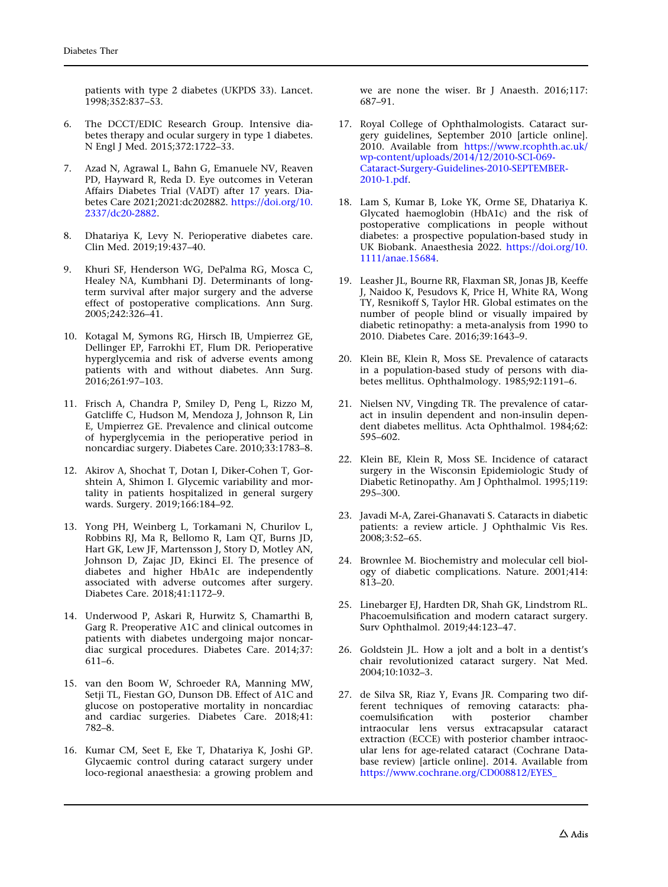<span id="page-8-0"></span>patients with type 2 diabetes (UKPDS 33). Lancet. 1998;352:837–53.

- 6. The DCCT/EDIC Research Group. Intensive diabetes therapy and ocular surgery in type 1 diabetes. N Engl J Med. 2015;372:1722–33.
- 7. Azad N, Agrawal L, Bahn G, Emanuele NV, Reaven PD, Hayward R, Reda D. Eye outcomes in Veteran Affairs Diabetes Trial (VADT) after 17 years. Diabetes Care 2021;2021:dc202882. [https://doi.org/10.](https://doi.org/10.2337/dc20-2882) [2337/dc20-2882.](https://doi.org/10.2337/dc20-2882)
- 8. Dhatariya K, Levy N. Perioperative diabetes care. Clin Med. 2019;19:437–40.
- 9. Khuri SF, Henderson WG, DePalma RG, Mosca C, Healey NA, Kumbhani DJ. Determinants of longterm survival after major surgery and the adverse effect of postoperative complications. Ann Surg. 2005;242:326–41.
- 10. Kotagal M, Symons RG, Hirsch IB, Umpierrez GE, Dellinger EP, Farrokhi ET, Flum DR. Perioperative hyperglycemia and risk of adverse events among patients with and without diabetes. Ann Surg. 2016;261:97–103.
- 11. Frisch A, Chandra P, Smiley D, Peng L, Rizzo M, Gatcliffe C, Hudson M, Mendoza J, Johnson R, Lin E, Umpierrez GE. Prevalence and clinical outcome of hyperglycemia in the perioperative period in noncardiac surgery. Diabetes Care. 2010;33:1783–8.
- 12. Akirov A, Shochat T, Dotan I, Diker-Cohen T, Gorshtein A, Shimon I. Glycemic variability and mortality in patients hospitalized in general surgery wards. Surgery. 2019;166:184–92.
- 13. Yong PH, Weinberg L, Torkamani N, Churilov L, Robbins RJ, Ma R, Bellomo R, Lam QT, Burns JD, Hart GK, Lew JF, Martensson J, Story D, Motley AN, Johnson D, Zajac JD, Ekinci EI. The presence of diabetes and higher HbA1c are independently associated with adverse outcomes after surgery. Diabetes Care. 2018;41:1172–9.
- 14. Underwood P, Askari R, Hurwitz S, Chamarthi B, Garg R. Preoperative A1C and clinical outcomes in patients with diabetes undergoing major noncardiac surgical procedures. Diabetes Care. 2014;37: 611–6.
- 15. van den Boom W, Schroeder RA, Manning MW, Setji TL, Fiestan GO, Dunson DB. Effect of A1C and glucose on postoperative mortality in noncardiac and cardiac surgeries. Diabetes Care. 2018;41: 782–8.
- 16. Kumar CM, Seet E, Eke T, Dhatariya K, Joshi GP. Glycaemic control during cataract surgery under loco-regional anaesthesia: a growing problem and

we are none the wiser. Br J Anaesth. 2016;117: 687–91.

- 17. Royal College of Ophthalmologists. Cataract surgery guidelines, September 2010 [article online]. 2010. Available from [https://www.rcophth.ac.uk/](https://www.rcophth.ac.uk/wp-content/uploads/2014/12/2010-SCI-069-Cataract-Surgery-Guidelines-2010-SEPTEMBER-2010-1.pdf) [wp-content/uploads/2014/12/2010-SCI-069-](https://www.rcophth.ac.uk/wp-content/uploads/2014/12/2010-SCI-069-Cataract-Surgery-Guidelines-2010-SEPTEMBER-2010-1.pdf) [Cataract-Surgery-Guidelines-2010-SEPTEMBER-](https://www.rcophth.ac.uk/wp-content/uploads/2014/12/2010-SCI-069-Cataract-Surgery-Guidelines-2010-SEPTEMBER-2010-1.pdf)[2010-1.pdf.](https://www.rcophth.ac.uk/wp-content/uploads/2014/12/2010-SCI-069-Cataract-Surgery-Guidelines-2010-SEPTEMBER-2010-1.pdf)
- 18. Lam S, Kumar B, Loke YK, Orme SE, Dhatariya K. Glycated haemoglobin (HbA1c) and the risk of postoperative complications in people without diabetes: a prospective population-based study in UK Biobank. Anaesthesia 2022. [https://doi.org/10.](https://doi.org/10.1111/anae.15684) [1111/anae.15684.](https://doi.org/10.1111/anae.15684)
- 19. Leasher JL, Bourne RR, Flaxman SR, Jonas JB, Keeffe J, Naidoo K, Pesudovs K, Price H, White RA, Wong TY, Resnikoff S, Taylor HR. Global estimates on the number of people blind or visually impaired by diabetic retinopathy: a meta-analysis from 1990 to 2010. Diabetes Care. 2016;39:1643–9.
- 20. Klein BE, Klein R, Moss SE. Prevalence of cataracts in a population-based study of persons with diabetes mellitus. Ophthalmology. 1985;92:1191–6.
- 21. Nielsen NV, Vingding TR. The prevalence of cataract in insulin dependent and non-insulin dependent diabetes mellitus. Acta Ophthalmol. 1984;62: 595–602.
- 22. Klein BE, Klein R, Moss SE. Incidence of cataract surgery in the Wisconsin Epidemiologic Study of Diabetic Retinopathy. Am J Ophthalmol. 1995;119: 295–300.
- 23. Javadi M-A, Zarei-Ghanavati S. Cataracts in diabetic patients: a review article. J Ophthalmic Vis Res. 2008;3:52–65.
- 24. Brownlee M. Biochemistry and molecular cell biology of diabetic complications. Nature. 2001;414: 813–20.
- 25. Linebarger EJ, Hardten DR, Shah GK, Lindstrom RL. Phacoemulsification and modern cataract surgery. Surv Ophthalmol. 2019;44:123–47.
- 26. Goldstein JL. How a jolt and a bolt in a dentist's chair revolutionized cataract surgery. Nat Med. 2004;10:1032–3.
- 27. de Silva SR, Riaz Y, Evans JR. Comparing two different techniques of removing cataracts: phacoemulsification with posterior chamber intraocular lens versus extracapsular cataract extraction (ECCE) with posterior chamber intraocular lens for age-related cataract (Cochrane Database review) [article online]. 2014. Available from [https://www.cochrane.org/CD008812/EYES\\_](https://www.cochrane.org/CD008812/EYES_comparing-two-different-techniques-of-removing-cataracts)